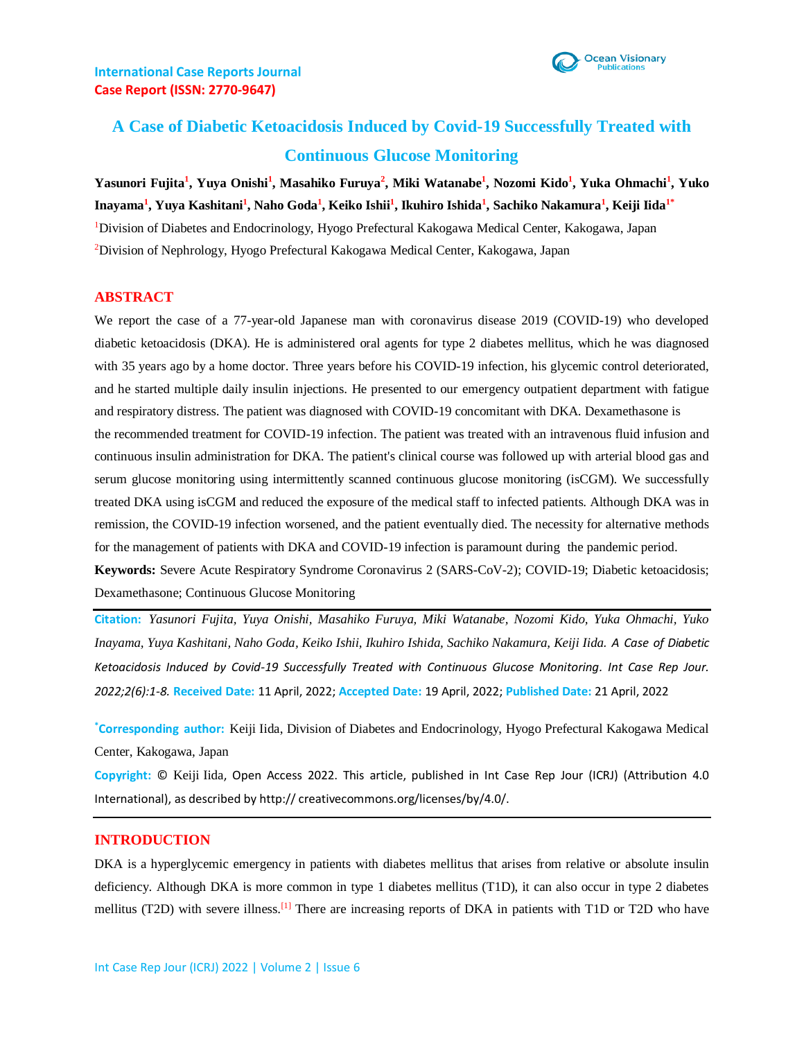

# **A Case of Diabetic Ketoacidosis Induced by Covid-19 Successfully Treated with Continuous Glucose Monitoring**

**Yasunori Fujita<sup>1</sup> , Yuya Onishi<sup>1</sup> , Masahiko Furuya<sup>2</sup> , Miki Watanabe<sup>1</sup> , Nozomi Kido<sup>1</sup> , Yuka Ohmachi<sup>1</sup> , Yuko Inayama<sup>1</sup> , Yuya Kashitani<sup>1</sup> , Naho Goda<sup>1</sup> , Keiko Ishii<sup>1</sup> , Ikuhiro Ishida<sup>1</sup> , Sachiko Nakamura<sup>1</sup> , Keiji Iida1\*** <sup>1</sup>Division of Diabetes and Endocrinology, Hyogo Prefectural Kakogawa Medical Center, Kakogawa, Japan <sup>2</sup>Division of Nephrology, Hyogo Prefectural Kakogawa Medical Center, Kakogawa, Japan

#### **ABSTRACT**

We report the case of a 77-year-old Japanese man with coronavirus disease 2019 (COVID-19) who developed diabetic ketoacidosis (DKA). He is administered oral agents for type 2 diabetes mellitus, which he was diagnosed with 35 years ago by a home doctor. Three years before his COVID-19 infection, his glycemic control deteriorated, and he started multiple daily insulin injections. He presented to our emergency outpatient department with fatigue and respiratory distress. The patient was diagnosed with COVID-19 concomitant with DKA. Dexamethasone is the recommended treatment for COVID-19 infection. The patient was treated with an intravenous fluid infusion and continuous insulin administration for DKA. The patient's clinical course was followed up with arterial blood gas and serum glucose monitoring using intermittently scanned continuous glucose monitoring (isCGM). We successfully treated DKA using isCGM and reduced the exposure of the medical staff to infected patients. Although DKA was in remission, the COVID-19 infection worsened, and the patient eventually died. The necessity for alternative methods for the management of patients with DKA and COVID-19 infection is paramount during the pandemic period. **Keywords:** Severe Acute Respiratory Syndrome Coronavirus 2 (SARS-CoV-2); COVID-19; Diabetic ketoacidosis; Dexamethasone; Continuous Glucose Monitoring

**Citation:** *Yasunori Fujita, Yuya Onishi, Masahiko Furuya, Miki Watanabe, Nozomi Kido, Yuka Ohmachi, Yuko Inayama, Yuya Kashitani, Naho Goda, Keiko Ishii, Ikuhiro Ishida, Sachiko Nakamura, Keiji Iida. A Case of Diabetic Ketoacidosis Induced by Covid-19 Successfully Treated with Continuous Glucose Monitoring. Int Case Rep Jour. 2022;2(6):1-8.* **Received Date:** 11 April, 2022; **Accepted Date:** 19 April, 2022; **Published Date:** 21 April, 2022

**\*Corresponding author:** Keiji Iida, Division of Diabetes and Endocrinology, Hyogo Prefectural Kakogawa Medical Center, Kakogawa, Japan

**Copyright:** © Keiji Iida, Open Access 2022. This article, published in Int Case Rep Jour (ICRJ) (Attribution 4.0 International), as described by http:// creativecommons.org/licenses/by/4.0/.

#### **INTRODUCTION**

DKA is a hyperglycemic emergency in patients with diabetes mellitus that arises from relative or absolute insulin deficiency. Although DKA is more common in type 1 diabetes mellitus (T1D), it can also occur in type 2 diabetes mellitus (T2D) with severe illness.<sup>[1]</sup> There are increasing reports of DKA in patients with T1D or T2D who have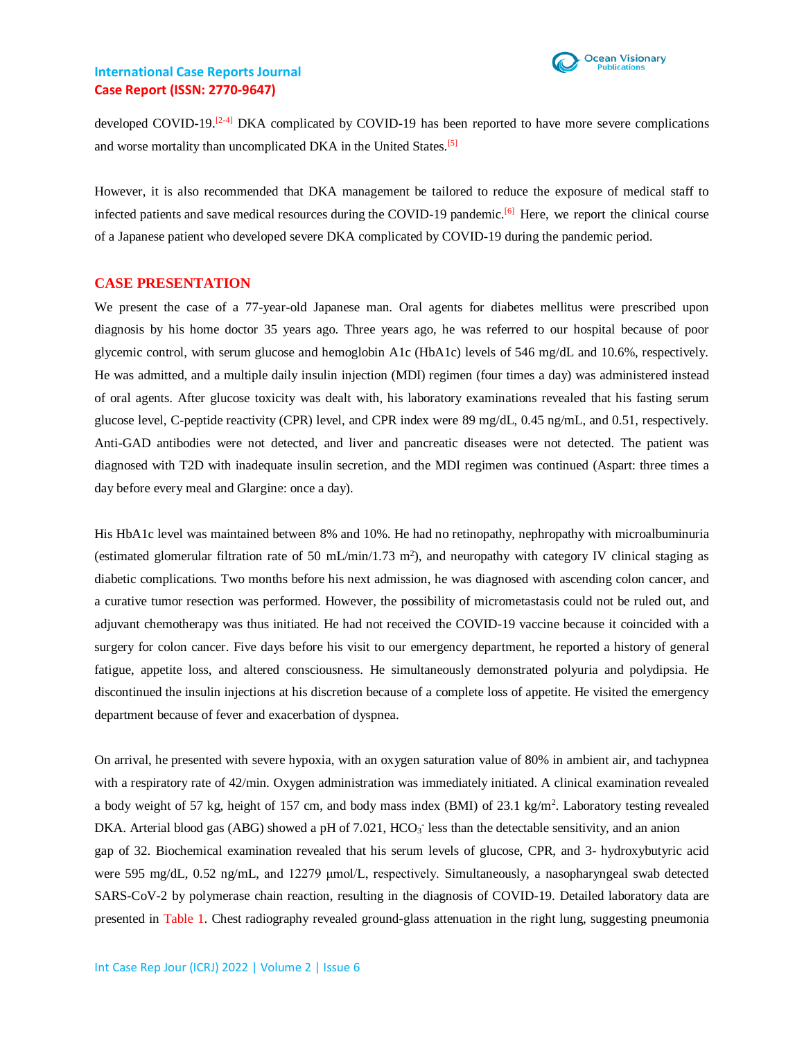

developed COVID-19.<sup>[2-4]</sup> DKA complicated by COVID-19 has been reported to have more severe complications and worse mortality than uncomplicated DKA in the United States.[5]

However, it is also recommended that DKA management be tailored to reduce the exposure of medical staff to infected patients and save medical resources during the COVID-19 pandemic.<sup>[6]</sup> Here, we report the clinical course of a Japanese patient who developed severe DKA complicated by COVID-19 during the pandemic period.

#### **CASE PRESENTATION**

We present the case of a 77-year-old Japanese man. Oral agents for diabetes mellitus were prescribed upon diagnosis by his home doctor 35 years ago. Three years ago, he was referred to our hospital because of poor glycemic control, with serum glucose and hemoglobin A1c (HbA1c) levels of 546 mg/dL and 10.6%, respectively. He was admitted, and a multiple daily insulin injection (MDI) regimen (four times a day) was administered instead of oral agents. After glucose toxicity was dealt with, his laboratory examinations revealed that his fasting serum glucose level, C-peptide reactivity (CPR) level, and CPR index were 89 mg/dL, 0.45 ng/mL, and 0.51, respectively. Anti-GAD antibodies were not detected, and liver and pancreatic diseases were not detected. The patient was diagnosed with T2D with inadequate insulin secretion, and the MDI regimen was continued (Aspart: three times a day before every meal and Glargine: once a day).

His HbA1c level was maintained between 8% and 10%. He had no retinopathy, nephropathy with microalbuminuria (estimated glomerular filtration rate of 50 mL/min/1.73 m<sup>2</sup>), and neuropathy with category IV clinical staging as diabetic complications. Two months before his next admission, he was diagnosed with ascending colon cancer, and a curative tumor resection was performed. However, the possibility of micrometastasis could not be ruled out, and adjuvant chemotherapy was thus initiated. He had not received the COVID-19 vaccine because it coincided with a surgery for colon cancer. Five days before his visit to our emergency department, he reported a history of general fatigue, appetite loss, and altered consciousness. He simultaneously demonstrated polyuria and polydipsia. He discontinued the insulin injections at his discretion because of a complete loss of appetite. He visited the emergency department because of fever and exacerbation of dyspnea.

On arrival, he presented with severe hypoxia, with an oxygen saturation value of 80% in ambient air, and tachypnea with a respiratory rate of 42/min. Oxygen administration was immediately initiated. A clinical examination revealed a body weight of 57 kg, height of 157 cm, and body mass index (BMI) of  $23.1 \text{ kg/m}^2$ . Laboratory testing revealed DKA. Arterial blood gas (ABG) showed a pH of 7.021, HCO<sub>3</sub> less than the detectable sensitivity, and an anion gap of 32. Biochemical examination revealed that his serum levels of glucose, CPR, and 3- hydroxybutyric acid were 595 mg/dL, 0.52 ng/mL, and 12279 μmol/L, respectively. Simultaneously, a nasopharyngeal swab detected SARS-CoV-2 by polymerase chain reaction, resulting in the diagnosis of COVID-19. Detailed laboratory data are presented in Table 1. Chest radiography revealed ground-glass attenuation in the right lung, suggesting pneumonia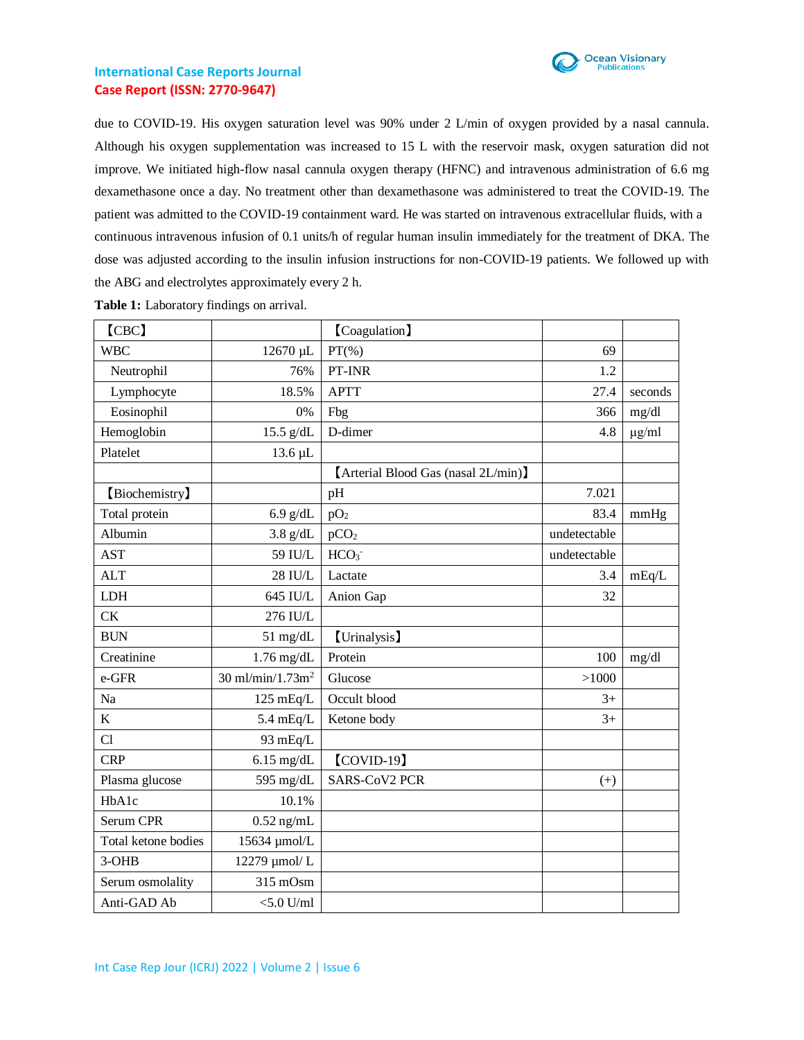

due to COVID-19. His oxygen saturation level was 90% under 2 L/min of oxygen provided by a nasal cannula. Although his oxygen supplementation was increased to 15 L with the reservoir mask, oxygen saturation did not improve. We initiated high-flow nasal cannula oxygen therapy (HFNC) and intravenous administration of 6.6 mg dexamethasone once a day. No treatment other than dexamethasone was administered to treat the COVID-19. The patient was admitted to the COVID-19 containment ward. He was started on intravenous extracellular fluids, with a continuous intravenous infusion of 0.1 units/h of regular human insulin immediately for the treatment of DKA. The dose was adjusted according to the insulin infusion instructions for non-COVID-19 patients. We followed up with the ABG and electrolytes approximately every 2 h.

| [CBC]               |                                      | <b>[Coagulation</b> ]               |              |            |
|---------------------|--------------------------------------|-------------------------------------|--------------|------------|
| <b>WBC</b>          | 12670 µL                             | $PT(\% )$                           | 69           |            |
| Neutrophil          | 76%                                  | PT-INR                              | 1.2          |            |
| Lymphocyte          | 18.5%                                | <b>APTT</b>                         | 27.4         | seconds    |
| Eosinophil          | 0%                                   | Fbg                                 | 366          | mg/dl      |
| Hemoglobin          | $15.5$ g/dL                          | D-dimer                             | 4.8          | $\mu$ g/ml |
| Platelet            | 13.6 µL                              |                                     |              |            |
|                     |                                      | [Arterial Blood Gas (nasal 2L/min)] |              |            |
| [Biochemistry]      |                                      | pH                                  | 7.021        |            |
| Total protein       | $6.9$ g/dL                           | pO <sub>2</sub>                     | 83.4         | mmHg       |
| Albumin             | $3.8$ g/dL                           | pCO <sub>2</sub>                    | undetectable |            |
| <b>AST</b>          | 59 IU/L                              | HCO <sub>3</sub>                    | undetectable |            |
| <b>ALT</b>          | 28 IU/L                              | Lactate                             | 3.4          | mEq/L      |
| <b>LDH</b>          | 645 IU/L                             | Anion Gap                           | 32           |            |
| CK                  | 276 IU/L                             |                                     |              |            |
| <b>BUN</b>          | $51$ mg/dL                           | [Urinalysis]                        |              |            |
| Creatinine          | $1.76$ mg/dL                         | Protein                             | 100          | mg/dl      |
| e-GFR               | $30 \text{ ml/min}/1.73 \text{ m}^2$ | Glucose                             | >1000        |            |
| Na                  | $125 \text{ mEq/L}$                  | Occult blood                        | $3+$         |            |
| $\bf K$             | $5.4 \text{ mEq/L}$                  | Ketone body                         | $3+$         |            |
| Cl                  | 93 mEq/L                             |                                     |              |            |
| <b>CRP</b>          | $6.15$ mg/dL                         | $\text{COVID-19}$                   |              |            |
| Plasma glucose      | 595 mg/dL                            | <b>SARS-CoV2 PCR</b>                | $^{(+)}$     |            |
| HbA1c               | 10.1%                                |                                     |              |            |
| Serum CPR           | $0.52$ ng/mL                         |                                     |              |            |
| Total ketone bodies | 15634 µmol/L                         |                                     |              |            |
| 3-OHB               | 12279 µmol/L                         |                                     |              |            |
| Serum osmolality    | 315 mOsm                             |                                     |              |            |
| Anti-GAD Ab         | $<$ 5.0 U/ml                         |                                     |              |            |

**Table 1:** Laboratory findings on arrival.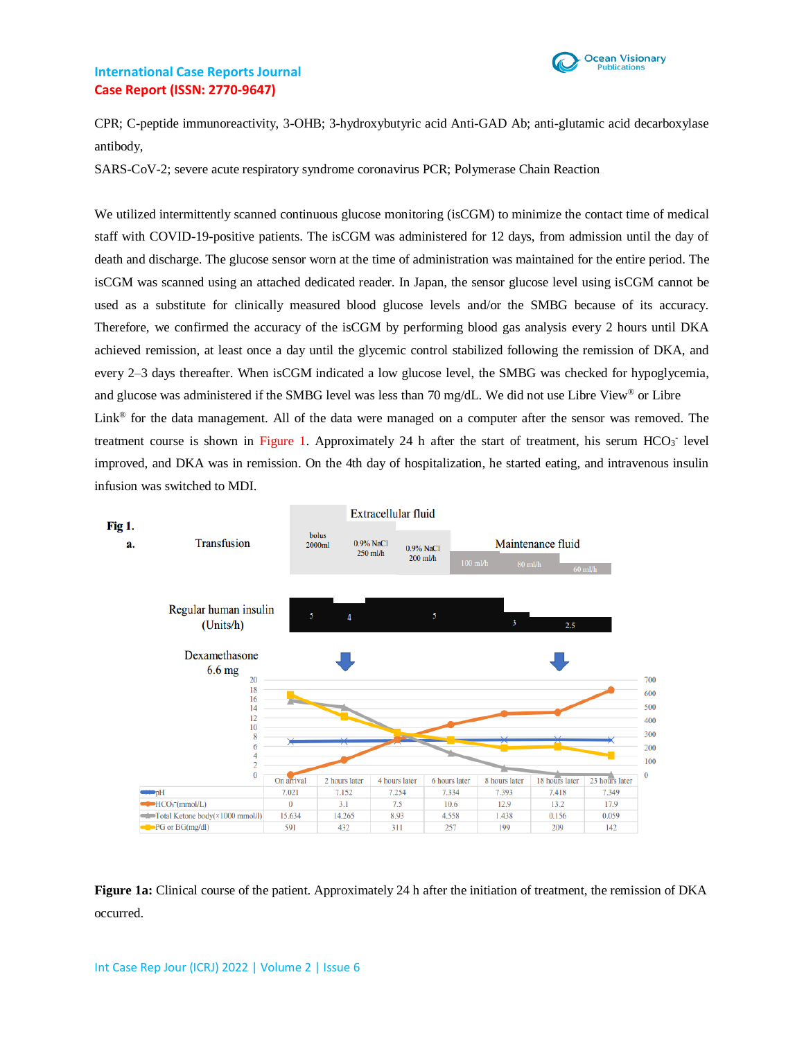

CPR; C-peptide immunoreactivity, 3-OHB; 3-hydroxybutyric acid Anti-GAD Ab; anti-glutamic acid decarboxylase antibody,

SARS-CoV-2; severe acute respiratory syndrome coronavirus PCR; Polymerase Chain Reaction

We utilized intermittently scanned continuous glucose monitoring (isCGM) to minimize the contact time of medical staff with COVID-19-positive patients. The isCGM was administered for 12 days, from admission until the day of death and discharge. The glucose sensor worn at the time of administration was maintained for the entire period. The isCGM was scanned using an attached dedicated reader. In Japan, the sensor glucose level using isCGM cannot be used as a substitute for clinically measured blood glucose levels and/or the SMBG because of its accuracy. Therefore, we confirmed the accuracy of the isCGM by performing blood gas analysis every 2 hours until DKA achieved remission, at least once a day until the glycemic control stabilized following the remission of DKA, and every 2–3 days thereafter. When isCGM indicated a low glucose level, the SMBG was checked for hypoglycemia, and glucose was administered if the SMBG level was less than 70 mg/dL. We did not use Libre View® or Libre Link® for the data management. All of the data were managed on a computer after the sensor was removed. The treatment course is shown in Figure 1. Approximately 24 h after the start of treatment, his serum HCO<sub>3</sub> level improved, and DKA was in remission. On the 4th day of hospitalization, he started eating, and intravenous insulin infusion was switched to MDI.



**Figure 1a:** Clinical course of the patient. Approximately 24 h after the initiation of treatment, the remission of DKA occurred.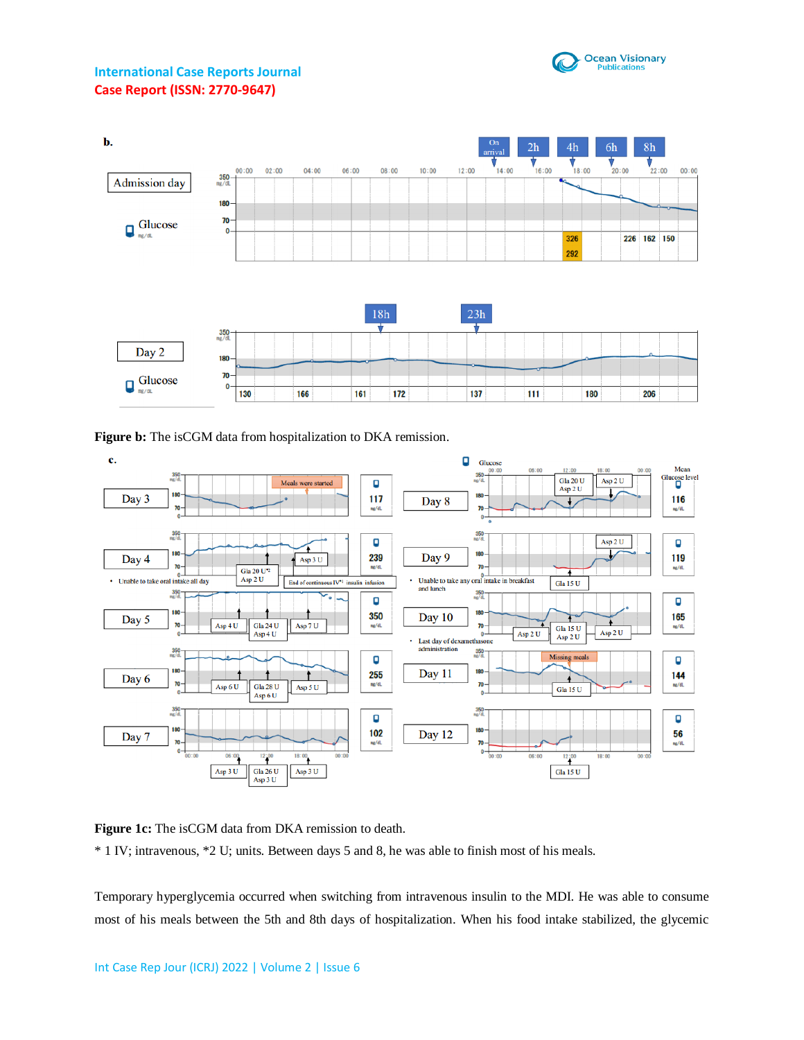



**Figure b:** The isCGM data from hospitalization to DKA remission.



**Figure 1c:** The isCGM data from DKA remission to death.

\* 1 IV; intravenous, \*2 U; units. Between days 5 and 8, he was able to finish most of his meals.

Temporary hyperglycemia occurred when switching from intravenous insulin to the MDI. He was able to consume most of his meals between the 5th and 8th days of hospitalization. When his food intake stabilized, the glycemic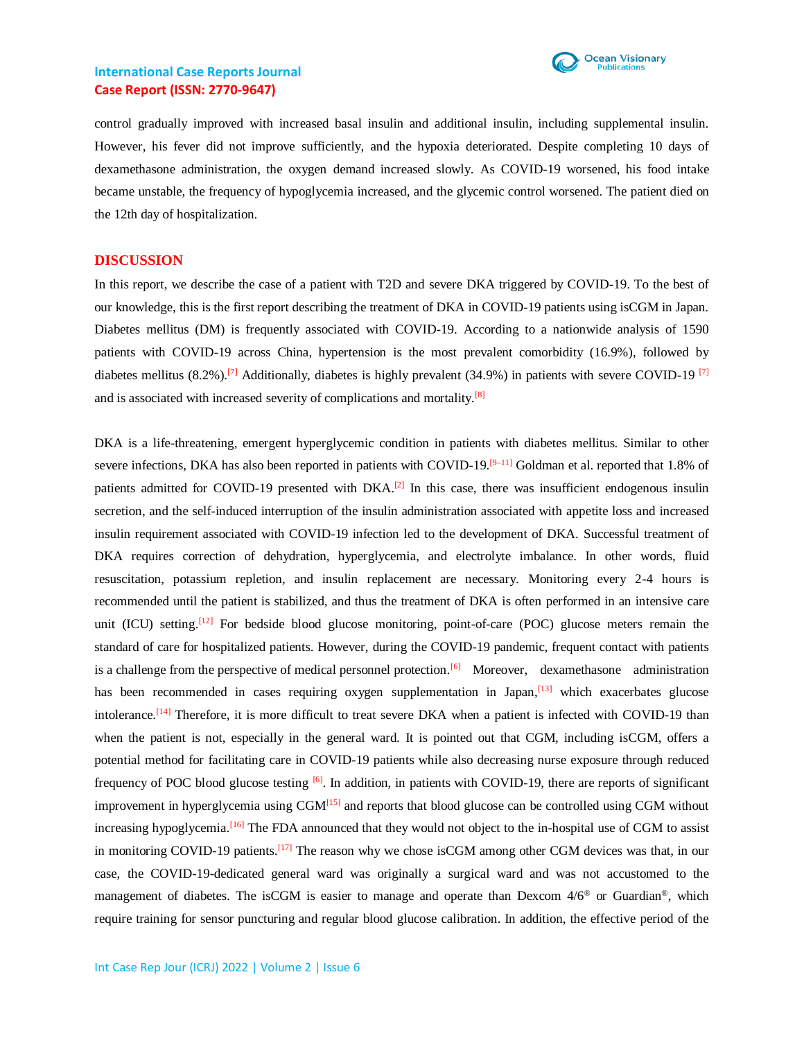

control gradually improved with increased basal insulin and additional insulin, including supplemental insulin. However, his fever did not improve sufficiently, and the hypoxia deteriorated. Despite completing 10 days of dexamethasone administration, the oxygen demand increased slowly. As COVID-19 worsened, his food intake became unstable, the frequency of hypoglycemia increased, and the glycemic control worsened. The patient died on the 12th day of hospitalization.

#### **DISCUSSION**

In this report, we describe the case of a patient with T2D and severe DKA triggered by COVID-19. To the best of our knowledge, this is the first report describing the treatment of DKA in COVID-19 patients using isCGM in Japan. Diabetes mellitus (DM) is frequently associated with COVID-19. According to a nationwide analysis of 1590 patients with COVID-19 across China, hypertension is the most prevalent comorbidity (16.9%), followed by diabetes mellitus  $(8.2\%)$ .<sup>[7]</sup> Additionally, diabetes is highly prevalent  $(34.9\%)$  in patients with severe COVID-19<sup>[7]</sup> and is associated with increased severity of complications and mortality.<sup>[8]</sup>

DKA is a life-threatening, emergent hyperglycemic condition in patients with diabetes mellitus. Similar to other severe infections, DKA has also been reported in patients with COVID-19.<sup>[9–11]</sup> Goldman et al. reported that 1.8% of patients admitted for COVID-19 presented with DKA.<sup>[2]</sup> In this case, there was insufficient endogenous insulin secretion, and the self-induced interruption of the insulin administration associated with appetite loss and increased insulin requirement associated with COVID-19 infection led to the development of DKA. Successful treatment of DKA requires correction of dehydration, hyperglycemia, and electrolyte imbalance. In other words, fluid resuscitation, potassium repletion, and insulin replacement are necessary. Monitoring every 2-4 hours is recommended until the patient is stabilized, and thus the treatment of DKA is often performed in an intensive care unit (ICU) setting.<sup>[12]</sup> For bedside blood glucose monitoring, point-of-care (POC) glucose meters remain the standard of care for hospitalized patients. However, during the COVID-19 pandemic, frequent contact with patients is a challenge from the perspective of medical personnel protection.<sup>[6]</sup> Moreover, dexamethasone administration has been recommended in cases requiring oxygen supplementation in Japan,<sup>[13]</sup> which exacerbates glucose intolerance.<sup>[14]</sup> Therefore, it is more difficult to treat severe DKA when a patient is infected with COVID-19 than when the patient is not, especially in the general ward. It is pointed out that CGM, including isCGM, offers a potential method for facilitating care in COVID-19 patients while also decreasing nurse exposure through reduced frequency of POC blood glucose testing  $\left[6\right]$ . In addition, in patients with COVID-19, there are reports of significant improvement in hyperglycemia using  $CGM<sup>[15]</sup>$  and reports that blood glucose can be controlled using CGM without increasing hypoglycemia.<sup>[16]</sup> The FDA announced that they would not object to the in-hospital use of CGM to assist in monitoring COVID-19 patients.<sup>[17]</sup> The reason why we chose isCGM among other CGM devices was that, in our case, the COVID-19-dedicated general ward was originally a surgical ward and was not accustomed to the management of diabetes. The isCGM is easier to manage and operate than Dexcom  $4/6^{\circ}$  or Guardian<sup>®</sup>, which require training for sensor puncturing and regular blood glucose calibration. In addition, the effective period of the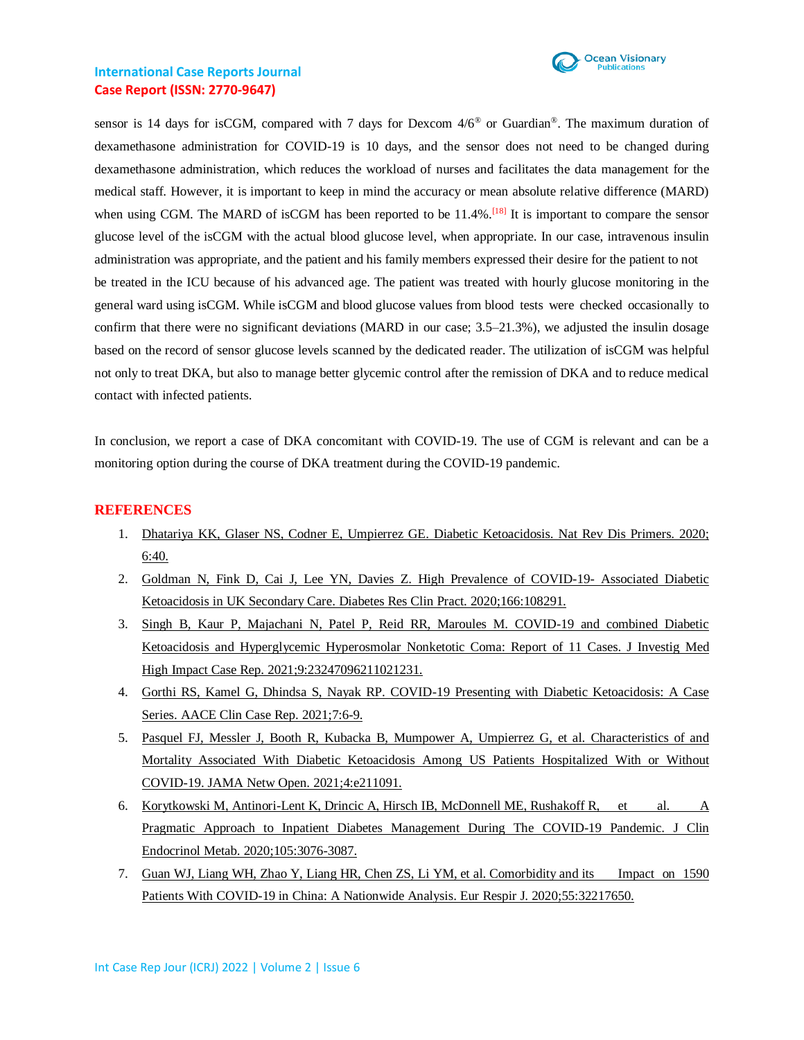

sensor is 14 days for isCGM, compared with 7 days for Dexcom 4/6® or Guardian®. The maximum duration of dexamethasone administration for COVID-19 is 10 days, and the sensor does not need to be changed during dexamethasone administration, which reduces the workload of nurses and facilitates the data management for the medical staff. However, it is important to keep in mind the accuracy or mean absolute relative difference (MARD) when using CGM. The MARD of isCGM has been reported to be  $11.4\%$ .<sup>[18]</sup> It is important to compare the sensor glucose level of the isCGM with the actual blood glucose level, when appropriate. In our case, intravenous insulin administration was appropriate, and the patient and his family members expressed their desire for the patient to not be treated in the ICU because of his advanced age. The patient was treated with hourly glucose monitoring in the general ward using isCGM. While isCGM and blood glucose values from blood tests were checked occasionally to confirm that there were no significant deviations (MARD in our case; 3.5–21.3%), we adjusted the insulin dosage based on the record of sensor glucose levels scanned by the dedicated reader. The utilization of isCGM was helpful not only to treat DKA, but also to manage better glycemic control after the remission of DKA and to reduce medical contact with infected patients.

In conclusion, we report a case of DKA concomitant with COVID-19. The use of CGM is relevant and can be a monitoring option during the course of DKA treatment during the COVID-19 pandemic.

#### **REFERENCES**

- 1. [Dhatariya KK, Glaser NS, Codner E, Umpierrez GE.](https://pubmed.ncbi.nlm.nih.gov/32409703/) Diabetic Ketoacidosis. Nat Rev Dis Primers. 2020; [6:40.](https://pubmed.ncbi.nlm.nih.gov/32409703/)
- 2. [Goldman N, Fink D, Cai J, Lee YN, Davies Z. High Prevalence](https://pubmed.ncbi.nlm.nih.gov/32615280/) of COVID-19- Associated Diabetic Ketoacidosis in UK Secondary Care. [Diabetes Res Clin Pract. 2020;166:108291.](https://pubmed.ncbi.nlm.nih.gov/32615280/)
- 3. [Singh B, Kaur P, Majachani N, Patel P, Reid RR, Maroules M. COVID-19 and combined Diabetic](https://pubmed.ncbi.nlm.nih.gov/34088220/)  [Ketoacidosis and Hyperglycemic Hyperosmolar Nonketotic Coma: Report of 11 Cases. J Investig Med](https://pubmed.ncbi.nlm.nih.gov/34088220/)  [High Impact Case Rep. 2021;9:23247096211021231.](https://pubmed.ncbi.nlm.nih.gov/34088220/)
- 4. [Gorthi RS, Kamel G, Dhindsa S, Nayak RP. COVID-19 Presenting](https://pubmed.ncbi.nlm.nih.gov/33521253/) with Diabetic Ketoacidosis: A Case [Series. AACE Clin Case](https://pubmed.ncbi.nlm.nih.gov/33521253/) Rep. 2021;7:6-9.
- 5. [Pasquel FJ, Messler J, Booth R, Kubacka B, Mumpower A, Umpierrez G, et al. Characteristics of and](https://www.ncbi.nlm.nih.gov/pmc/articles/PMC7948057/)  [Mortality Associated With Diabetic Ketoacidosis Among US Patients Hospitalized With](https://www.ncbi.nlm.nih.gov/pmc/articles/PMC7948057/) or Without [COVID-19. JAMA Netw Open. 2021;4:e211091.](https://www.ncbi.nlm.nih.gov/pmc/articles/PMC7948057/)
- 6. [Korytkowski M, Antinori-Lent K, Drincic A, Hirsch IB,](https://pubmed.ncbi.nlm.nih.gov/32498085/) McDonnell ME, Rushakoff R, et al. A [Pragmatic Approach to Inpatient Diabetes Management During The](https://pubmed.ncbi.nlm.nih.gov/32498085/) COVID-19 Pandemic. J Clin [Endocrinol Metab. 2020;105:3076-3087.](https://pubmed.ncbi.nlm.nih.gov/32498085/)
- 7. [Guan WJ, Liang WH, Zhao Y, Liang HR, Chen ZS, Li](https://www.ncbi.nlm.nih.gov/pmc/articles/PMC7098485/) YM, et al. Comorbidity and its Impact on 1590 [Patients With COVID-19 in China: A Nationwide Analysis. Eur Respir J. 2020;55:32217650.](https://www.ncbi.nlm.nih.gov/pmc/articles/PMC7098485/)